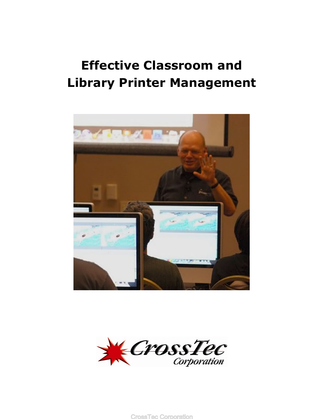# **Effective Classroom and Library Printer Management**





**CrossTec Corporation**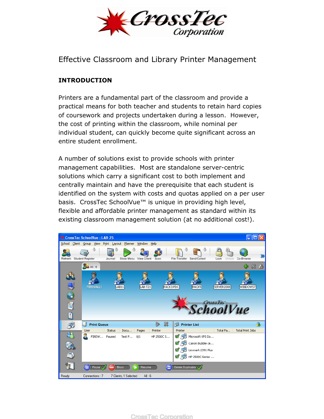

Effective Classroom and Library Printer Management

## **INTRODUCTION**

Printers are a fundamental part of the classroom and provide a practical means for both teacher and students to retain hard copies of coursework and projects undertaken during a lesson. However, the cost of printing within the classroom, while nominal per individual student, can quickly become quite significant across an entire student enrollment.

A number of solutions exist to provide schools with printer management capabilities. Most are standalone server-centric solutions which carry a significant cost to both implement and centrally maintain and have the prerequisite that each student is identified on the system with costs and quotas applied on a per user basis. CrossTec SchoolVue<sup>™</sup> is unique in providing high level, flexible and affordable printer management as standard within its existing classroom management solution (at no additional cost!).

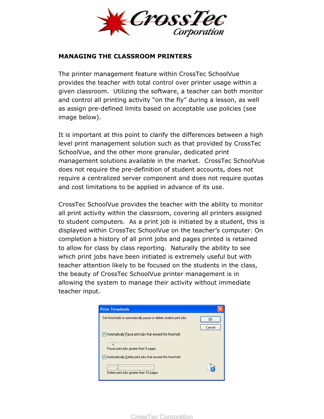

#### **MANAGING THE CLASSROOM PRINTERS**

The printer management feature within CrossTec SchoolVue provides the teacher with total control over printer usage within a given classroom. Utilizing the software, a teacher can both monitor and control all printing activity "on the fly" during a lesson, as well as assign pre-defined limits based on acceptable use policies (see image below).

It is important at this point to clarify the differences between a high level print management solution such as that provided by CrossTec SchoolVue, and the other more granular, dedicated print management solutions available in the market. CrossTec SchoolVue does not require the pre-definition of student accounts, does not require a centralized server component and does not require quotas and cost limitations to be applied in advance of its use.

CrossTec SchoolVue provides the teacher with the ability to monitor all print activity within the classroom, covering all printers assigned to student computers. As a print job is initiated by a student, this is displayed within CrossTec SchoolVue on the teacher's computer. On completion a history of all print jobs and pages printed is retained to allow for class by class reporting. Naturally the ability to see which print jobs have been initiated is extremely useful but with teacher attention likely to be focused on the students in the class, the beauty of CrossTec SchoolVue printer management is in allowing the system to manage their activity without immediate teacher input.



**CrossTec Corporation**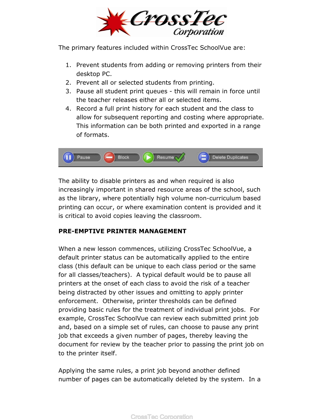

The primary features included within CrossTec SchoolVue are:

- 1. Prevent students from adding or removing printers from their desktop PC.
- 2. Prevent all or selected students from printing.
- 3. Pause all student print queues this will remain in force until the teacher releases either all or selected items.
- 4. Record a full print history for each student and the class to allow for subsequent reporting and costing where appropriate. This information can be both printed and exported in a range of formats.



The ability to disable printers as and when required is also increasingly important in shared resource areas of the school, such as the library, where potentially high volume non-curriculum based printing can occur, or where examination content is provided and it is critical to avoid copies leaving the classroom.

### **PRE-EMPTIVE PRINTER MANAGEMENT**

When a new lesson commences, utilizing CrossTec SchoolVue, a default printer status can be automatically applied to the entire class (this default can be unique to each class period or the same for all classes/teachers). A typical default would be to pause all printers at the onset of each class to avoid the risk of a teacher being distracted by other issues and omitting to apply printer enforcement. Otherwise, printer thresholds can be defined providing basic rules for the treatment of individual print jobs. For example, CrossTec SchoolVue can review each submitted print job and, based on a simple set of rules, can choose to pause any print job that exceeds a given number of pages, thereby leaving the document for review by the teacher prior to passing the print job on to the printer itself.

Applying the same rules, a print job beyond another defined number of pages can be automatically deleted by the system. In a